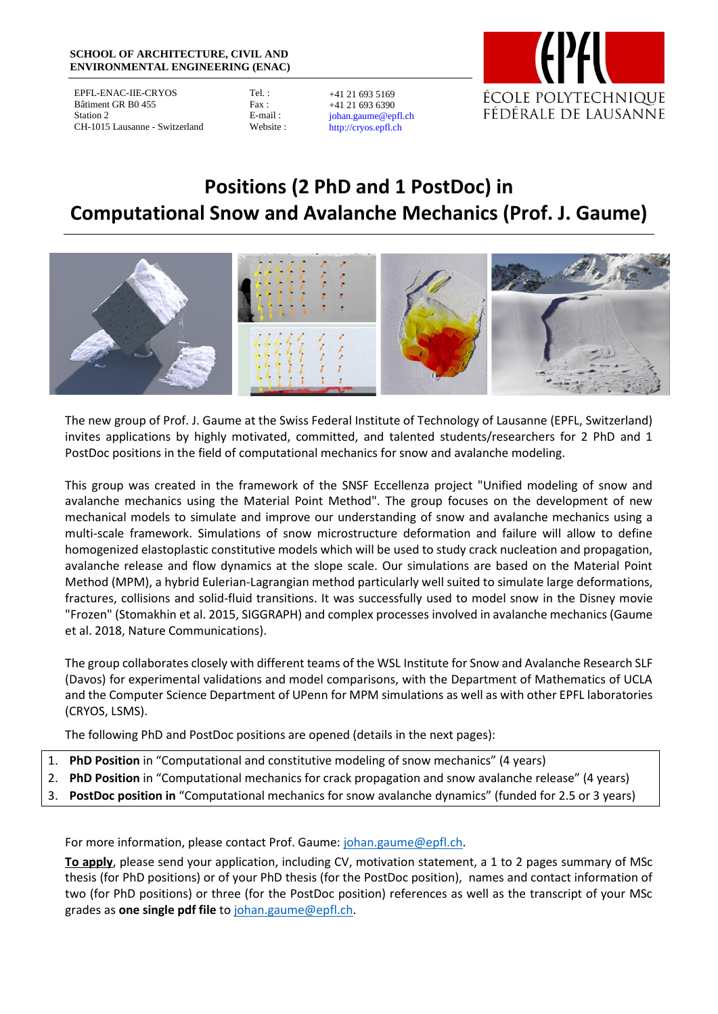#### **SCHOOL OF ARCHITECTURE, CIVIL AND ENVIRONMENTAL ENGINEERING (ENAC)**

EPFL-ENAC-IIE-CRYOS Bâtiment GR B0 455 Station 2 CH-1015 Lausanne - Switzerland

Tel. : Fax : E-mail : Website :

+41 21 693 5169 +41 21 693 6390 johan.gaume@epfl.ch http://cryos.epfl.ch



# **Positions (2 PhD and 1 PostDoc) in Computational Snow and Avalanche Mechanics (Prof. J. Gaume)**



The new group of Prof. J. Gaume at the Swiss Federal Institute of Technology of Lausanne (EPFL, Switzerland) invites applications by highly motivated, committed, and talented students/researchers for 2 PhD and 1 PostDoc positions in the field of computational mechanics for snow and avalanche modeling.

This group was created in the framework of the SNSF Eccellenza project "Unified modeling of snow and avalanche mechanics using the Material Point Method". The group focuses on the development of new mechanical models to simulate and improve our understanding of snow and avalanche mechanics using a multi-scale framework. Simulations of snow microstructure deformation and failure will allow to define homogenized elastoplastic constitutive models which will be used to study crack nucleation and propagation, avalanche release and flow dynamics at the slope scale. Our simulations are based on the Material Point Method (MPM), a hybrid Eulerian-Lagrangian method particularly well suited to simulate large deformations, fractures, collisions and solid-fluid transitions. It was successfully used to model snow in the Disney movie "Frozen" (Stomakhin et al. 2015, SIGGRAPH) and complex processes involved in avalanche mechanics (Gaume et al. 2018, Nature Communications).

The group collaborates closely with different teams of the WSL Institute for Snow and Avalanche Research SLF (Davos) for experimental validations and model comparisons, with the Department of Mathematics of UCLA and the Computer Science Department of UPenn for MPM simulations as well as with other EPFL laboratories (CRYOS, LSMS).

The following PhD and PostDoc positions are opened (details in the next pages):

- 1. **PhD Position** in "Computational and constitutive modeling of snow mechanics" (4 years)
- 2. **PhD Position** in "Computational mechanics for crack propagation and snow avalanche release" (4 years)
- 3. **PostDoc position in** "Computational mechanics for snow avalanche dynamics" (funded for 2.5 or 3 years)

For more information, please contact Prof. Gaume: [johan.gaume@epfl.ch.](mailto:johan.gaume@epfl.ch)

**To apply**, please send your application, including CV, motivation statement, a 1 to 2 pages summary of MSc thesis (for PhD positions) or of your PhD thesis (for the PostDoc position), names and contact information of two (for PhD positions) or three (for the PostDoc position) references as well as the transcript of your MSc grades as **one single pdf file** to [johan.gaume@epfl.ch.](mailto:johan.gaume@epfl.ch)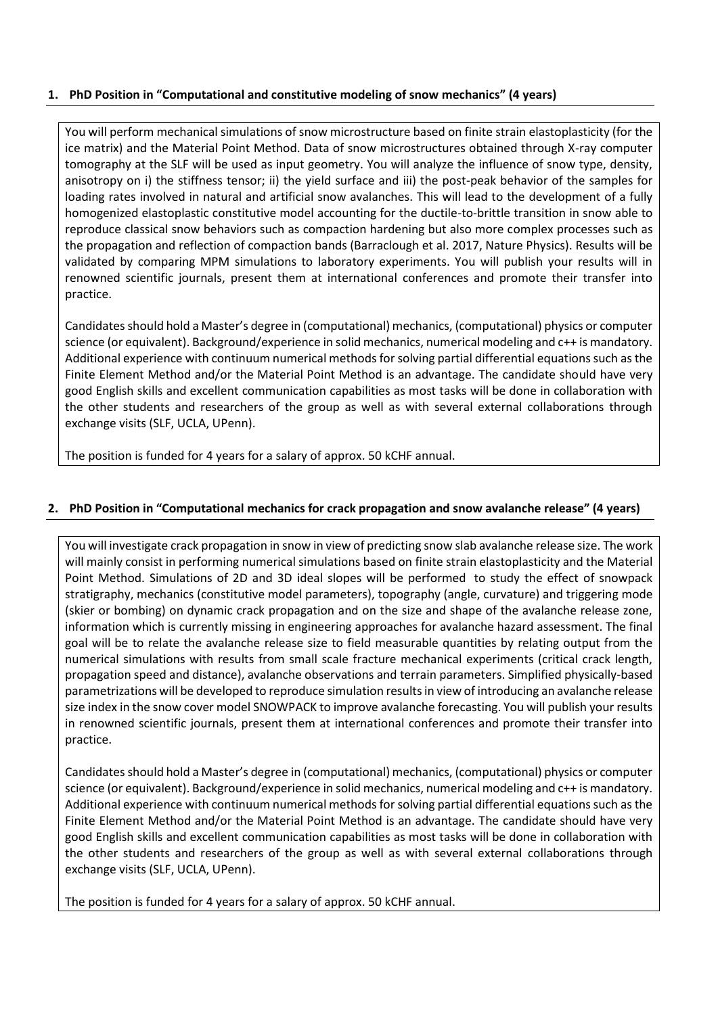# **1. PhD Position in "Computational and constitutive modeling of snow mechanics" (4 years)**

You will perform mechanical simulations of snow microstructure based on finite strain elastoplasticity (for the ice matrix) and the Material Point Method. Data of snow microstructures obtained through X-ray computer tomography at the SLF will be used as input geometry. You will analyze the influence of snow type, density, anisotropy on i) the stiffness tensor; ii) the yield surface and iii) the post-peak behavior of the samples for loading rates involved in natural and artificial snow avalanches. This will lead to the development of a fully homogenized elastoplastic constitutive model accounting for the ductile-to-brittle transition in snow able to reproduce classical snow behaviors such as compaction hardening but also more complex processes such as the propagation and reflection of compaction bands (Barraclough et al. 2017, Nature Physics). Results will be validated by comparing MPM simulations to laboratory experiments. You will publish your results will in renowned scientific journals, present them at international conferences and promote their transfer into practice.

Candidates should hold a Master's degree in (computational) mechanics, (computational) physics or computer science (or equivalent). Background/experience in solid mechanics, numerical modeling and c++ is mandatory. Additional experience with continuum numerical methods for solving partial differential equations such as the Finite Element Method and/or the Material Point Method is an advantage. The candidate should have very good English skills and excellent communication capabilities as most tasks will be done in collaboration with the other students and researchers of the group as well as with several external collaborations through exchange visits (SLF, UCLA, UPenn).

The position is funded for 4 years for a salary of approx. 50 kCHF annual.

## **2. PhD Position in "Computational mechanics for crack propagation and snow avalanche release" (4 years)**

You will investigate crack propagation in snow in view of predicting snow slab avalanche release size. The work will mainly consist in performing numerical simulations based on finite strain elastoplasticity and the Material Point Method. Simulations of 2D and 3D ideal slopes will be performed to study the effect of snowpack stratigraphy, mechanics (constitutive model parameters), topography (angle, curvature) and triggering mode (skier or bombing) on dynamic crack propagation and on the size and shape of the avalanche release zone, information which is currently missing in engineering approaches for avalanche hazard assessment. The final goal will be to relate the avalanche release size to field measurable quantities by relating output from the numerical simulations with results from small scale fracture mechanical experiments (critical crack length, propagation speed and distance), avalanche observations and terrain parameters. Simplified physically-based parametrizations will be developed to reproduce simulation results in view of introducing an avalanche release size index in the snow cover model SNOWPACK to improve avalanche forecasting. You will publish your results in renowned scientific journals, present them at international conferences and promote their transfer into practice.

Candidates should hold a Master's degree in (computational) mechanics, (computational) physics or computer science (or equivalent). Background/experience in solid mechanics, numerical modeling and c++ is mandatory. Additional experience with continuum numerical methods for solving partial differential equations such as the Finite Element Method and/or the Material Point Method is an advantage. The candidate should have very good English skills and excellent communication capabilities as most tasks will be done in collaboration with the other students and researchers of the group as well as with several external collaborations through exchange visits (SLF, UCLA, UPenn).

The position is funded for 4 years for a salary of approx. 50 kCHF annual.